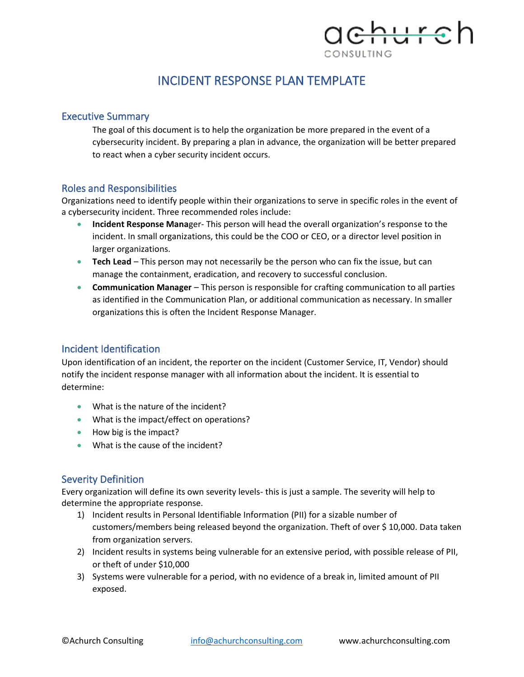# a<del>churc</del>h **CONSULTIN**

# INCIDENT RESPONSE PLAN TEMPLATE

## Executive Summary

The goal of this document is to help the organization be more prepared in the event of a cybersecurity incident. By preparing a plan in advance, the organization will be better prepared to react when a cyber security incident occurs.

### Roles and Responsibilities

Organizations need to identify people within their organizations to serve in specific roles in the event of a cybersecurity incident. Three recommended roles include:

- **Incident Response Mana**ger- This person will head the overall organization's response to the incident. In small organizations, this could be the COO or CEO, or a director level position in larger organizations.
- **Tech Lead** This person may not necessarily be the person who can fix the issue, but can manage the containment, eradication, and recovery to successful conclusion.
- **Communication Manager** This person is responsible for crafting communication to all parties as identified in the Communication Plan, or additional communication as necessary. In smaller organizations this is often the Incident Response Manager.

# Incident Identification

Upon identification of an incident, the reporter on the incident (Customer Service, IT, Vendor) should notify the incident response manager with all information about the incident. It is essential to determine:

- What is the nature of the incident?
- What is the impact/effect on operations?
- How big is the impact?
- What is the cause of the incident?

# Severity Definition

Every organization will define its own severity levels- this is just a sample. The severity will help to determine the appropriate response.

- 1) Incident results in Personal Identifiable Information (PII) for a sizable number of customers/members being released beyond the organization. Theft of over \$ 10,000. Data taken from organization servers.
- 2) Incident results in systems being vulnerable for an extensive period, with possible release of PII, or theft of under \$10,000
- 3) Systems were vulnerable for a period, with no evidence of a break in, limited amount of PII exposed.